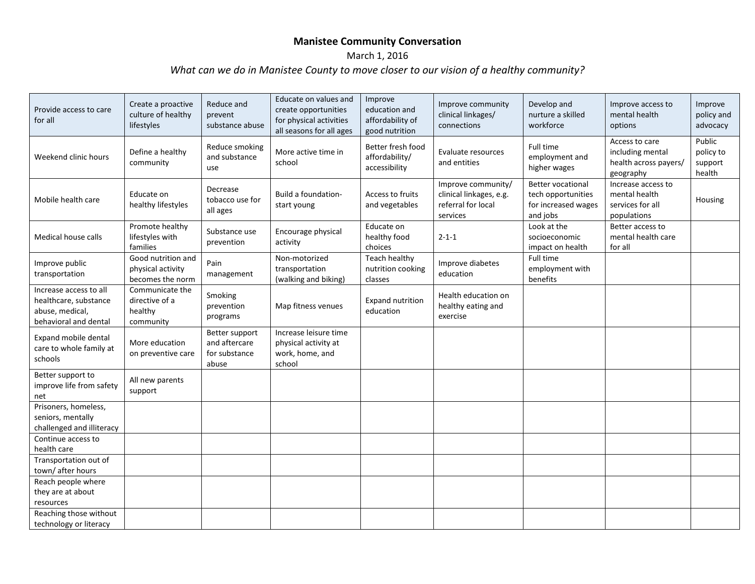## **Manistee Community Conversation**

March 1, 2016

*What can we do in Manistee County to move closer to our vision of a healthy community?*

| Provide access to care<br>for all                                                           | Create a proactive<br>culture of healthy<br>lifestyles      | Reduce and<br>prevent<br>substance abuse                  | Educate on values and<br>create opportunities<br>for physical activities<br>all seasons for all ages | Improve<br>education and<br>affordability of<br>good nutrition | Improve community<br>clinical linkages/<br>connections                          | Develop and<br>nurture a skilled<br>workforce                                     | Improve access to<br>mental health<br>options                            | Improve<br>policy and<br>advocacy        |
|---------------------------------------------------------------------------------------------|-------------------------------------------------------------|-----------------------------------------------------------|------------------------------------------------------------------------------------------------------|----------------------------------------------------------------|---------------------------------------------------------------------------------|-----------------------------------------------------------------------------------|--------------------------------------------------------------------------|------------------------------------------|
| Weekend clinic hours                                                                        | Define a healthy<br>community                               | Reduce smoking<br>and substance<br>use                    | More active time in<br>school                                                                        | Better fresh food<br>affordability/<br>accessibility           | Evaluate resources<br>and entities                                              | Full time<br>employment and<br>higher wages                                       | Access to care<br>including mental<br>health across payers/<br>geography | Public<br>policy to<br>support<br>health |
| Mobile health care                                                                          | Educate on<br>healthy lifestyles                            | Decrease<br>tobacco use for<br>all ages                   | Build a foundation-<br>start young                                                                   | Access to fruits<br>and vegetables                             | Improve community/<br>clinical linkages, e.g.<br>referral for local<br>services | <b>Better vocational</b><br>tech opportunities<br>for increased wages<br>and jobs | Increase access to<br>mental health<br>services for all<br>populations   | Housing                                  |
| Medical house calls                                                                         | Promote healthy<br>lifestyles with<br>families              | Substance use<br>prevention                               | Encourage physical<br>activity                                                                       | Educate on<br>healthy food<br>choices                          | $2 - 1 - 1$                                                                     | Look at the<br>socioeconomic<br>impact on health                                  | Better access to<br>mental health care<br>for all                        |                                          |
| Improve public<br>transportation                                                            | Good nutrition and<br>physical activity<br>becomes the norm | Pain<br>management                                        | Non-motorized<br>transportation<br>(walking and biking)                                              | Teach healthy<br>nutrition cooking<br>classes                  | Improve diabetes<br>education                                                   | Full time<br>employment with<br>benefits                                          |                                                                          |                                          |
| Increase access to all<br>healthcare, substance<br>abuse, medical,<br>behavioral and dental | Communicate the<br>directive of a<br>healthy<br>community   | Smoking<br>prevention<br>programs                         | Map fitness venues                                                                                   | <b>Expand nutrition</b><br>education                           | Health education on<br>healthy eating and<br>exercise                           |                                                                                   |                                                                          |                                          |
| Expand mobile dental<br>care to whole family at<br>schools                                  | More education<br>on preventive care                        | Better support<br>and aftercare<br>for substance<br>abuse | Increase leisure time<br>physical activity at<br>work, home, and<br>school                           |                                                                |                                                                                 |                                                                                   |                                                                          |                                          |
| Better support to<br>improve life from safety<br>net                                        | All new parents<br>support                                  |                                                           |                                                                                                      |                                                                |                                                                                 |                                                                                   |                                                                          |                                          |
| Prisoners, homeless,<br>seniors, mentally<br>challenged and illiteracy                      |                                                             |                                                           |                                                                                                      |                                                                |                                                                                 |                                                                                   |                                                                          |                                          |
| Continue access to<br>health care                                                           |                                                             |                                                           |                                                                                                      |                                                                |                                                                                 |                                                                                   |                                                                          |                                          |
| Transportation out of<br>town/after hours                                                   |                                                             |                                                           |                                                                                                      |                                                                |                                                                                 |                                                                                   |                                                                          |                                          |
| Reach people where<br>they are at about<br>resources                                        |                                                             |                                                           |                                                                                                      |                                                                |                                                                                 |                                                                                   |                                                                          |                                          |
| Reaching those without<br>technology or literacy                                            |                                                             |                                                           |                                                                                                      |                                                                |                                                                                 |                                                                                   |                                                                          |                                          |